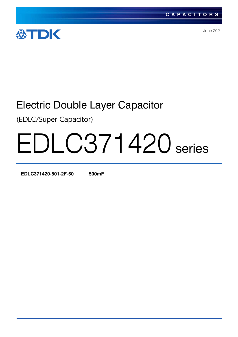

June 2021

## Electric Double Layer Capacitor

(EDLC/Super Capacitor)

# EDLC371420 series

**EDLC371420-501-2F-50 500mF**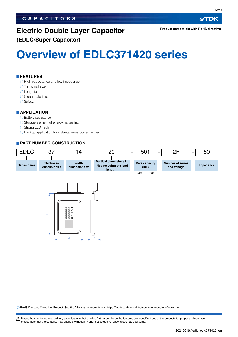#### **CAPACITORS**

## **Electric Double Layer Capacitor**

**(EDLC/Super Capacitor)**

## **Overview of EDLC371420 series**

#### **FEATURES**

 $\bigcirc$  High capacitance and low impedance.

- $\bigcirc$  Thin small size.
- Long-life.
- O Clean materials.
- $\bigcirc$  Safety.

#### **APPLICATION**

#### $\bigcirc$  Battery assistance

- $\bigcirc$  Storage element of energy harvesting
- ◯ Strong LED flash
- $\bigcirc$  Backup application for instantaneous power failures

#### **PART NUMBER CONSTRUCTION**





RoHS Directive Compliant Product: See the following for more details. https://product.tdk.com/info/en/environment/rohs/index.html

t Please be sure to request delivery specifications that provide further details on the features and specifications of the products for proper and safe use. Please note that the contents may change without any prior notice due to reasons such as upgrading.

**公TDK**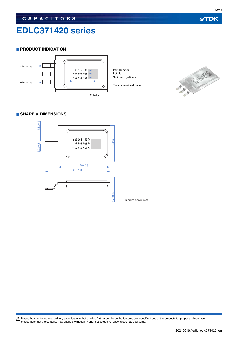### **EDLC371420 series**

#### **PRODUCT INDICATION**





#### **SHAPE & DIMENSIONS**



Dimensions in mm

Please be sure to request delivery specifications that provide further details on the features and specifications of the products for proper and safe use.<br>Please note that the contents may change without any prior notice d

**公TDK**